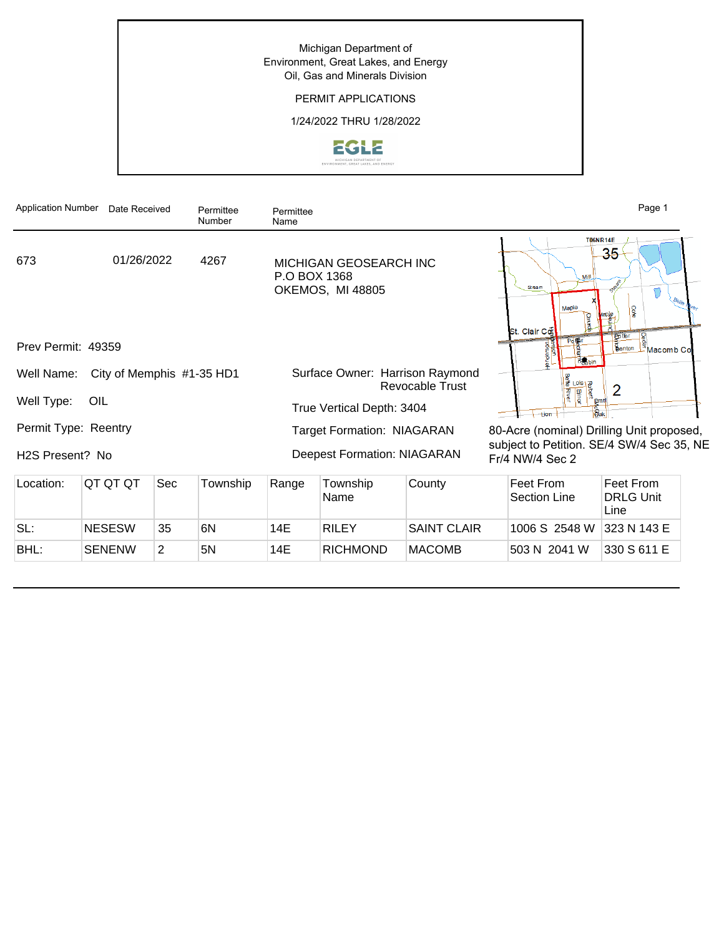# PERMIT APPLICATIONS

# 1/24/2022 THRU 1/28/2022



|                      | Application Number Date Received |     | Permittee<br>Number | Permittee<br>Name |                                            |                        |                                                                                                                                                                                                                                                                                                         | Page 1                                    |
|----------------------|----------------------------------|-----|---------------------|-------------------|--------------------------------------------|------------------------|---------------------------------------------------------------------------------------------------------------------------------------------------------------------------------------------------------------------------------------------------------------------------------------------------------|-------------------------------------------|
| 673                  | 01/26/2022                       |     | 4267                | P.O BOX 1368      | MICHIGAN GEOSEARCH INC<br>OKEMOS, MI 48805 |                        | Mill<br>Stream<br>Maple<br>St. Clair Co                                                                                                                                                                                                                                                                 | <b>T06NR14E</b><br>35                     |
| Prev Permit: 49359   |                                  |     |                     |                   |                                            |                        | Poto<br><b>Figabin</b>                                                                                                                                                                                                                                                                                  | Potter<br>Benton<br>Macomb Co             |
| Well Name:           | City of Memphis #1-35 HD1        |     |                     |                   | Surface Owner: Harrison Raymond            | <b>Revocable Trust</b> | $\begin{array}{ c c c }\hline \frac{a}{\sqrt{6}} & \text{Lois} & \text{2}\\ \hline \frac{r}{\sqrt{6}} & \text{I\hskip -2pt P} & \text{I\hskip -2pt P} & \text{I\hskip -2pt P} \\\hline \frac{r}{\sqrt{6}} & \text{I\hskip -2pt P} & \text{I\hskip -2pt P} & \text{I\hskip -2pt P} \\\hline \end{array}$ | $\overline{2}$                            |
| Well Type:           | OIL                              |     |                     |                   | True Vertical Depth: 3404                  |                        | Elinor<br>River<br>-tion                                                                                                                                                                                                                                                                                | Prati<br>$\beta$ ak                       |
| Permit Type: Reentry |                                  |     |                     |                   | <b>Target Formation: NIAGARAN</b>          |                        | 80-Acre (nominal) Drilling Unit proposed,                                                                                                                                                                                                                                                               |                                           |
| H2S Present? No      |                                  |     |                     |                   | <b>Deepest Formation: NIAGARAN</b>         |                        | Fr/4 NW/4 Sec 2                                                                                                                                                                                                                                                                                         | subject to Petition. SE/4 SW/4 Sec 35, NE |
| Location:            | QT QT QT                         | Sec | Township            | Range             | Township<br>Name                           | County                 | Feet From<br>Section Line                                                                                                                                                                                                                                                                               | Feet From<br><b>DRLG Unit</b><br>Line     |
| SL:                  | <b>NESESW</b>                    | 35  | 6N                  | 14E               | <b>RILEY</b>                               | <b>SAINT CLAIR</b>     | 1006 S 2548 W                                                                                                                                                                                                                                                                                           | 323 N 143 E                               |
| BHL:                 | <b>SENENW</b>                    | 2   | 5N                  | 14E               | <b>RICHMOND</b>                            | <b>MACOMB</b>          | 503 N 2041 W                                                                                                                                                                                                                                                                                            | 330 S 611 E                               |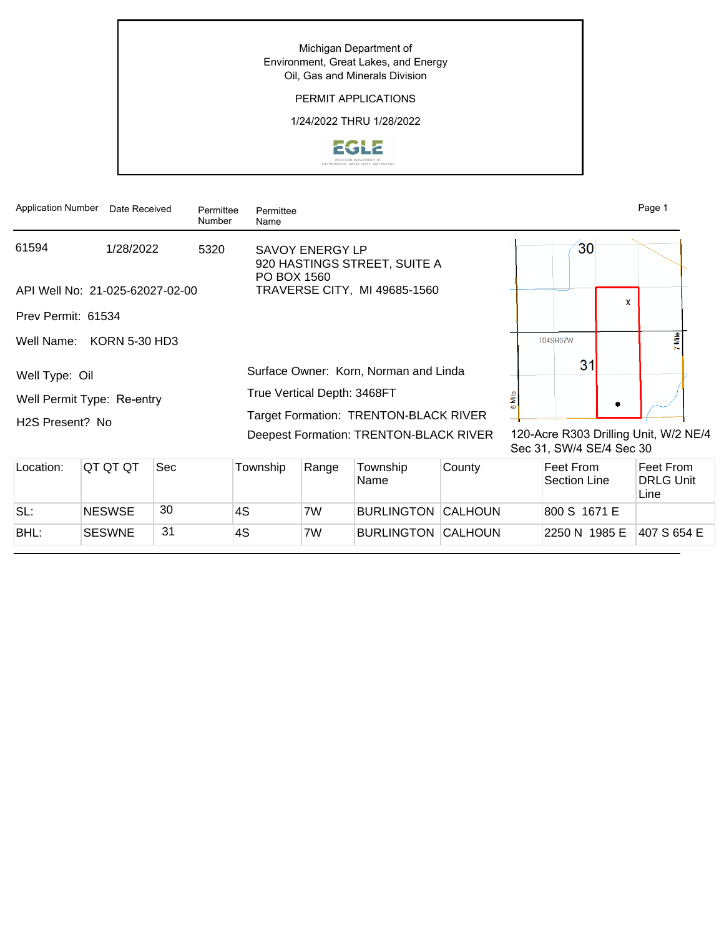# PERMIT APPLICATIONS

### 1/24/2022 THRU 1/28/2022

**EGLE** MICHIGAN DEPARTMENT OF<br>ENVIRONMENT, GREAT LAKES, AND ENERGY

| <b>Application Number</b>    | Date Received                   | Permittee<br>Number | Permittee<br>Name |                             |                                        |        |                           |   | Page 1                                |
|------------------------------|---------------------------------|---------------------|-------------------|-----------------------------|----------------------------------------|--------|---------------------------|---|---------------------------------------|
| 61594                        | 1/28/2022                       | 5320                | PO BOX 1560       | SAVOY ENERGY LP             | 920 HASTINGS STREET, SUITE A           |        | 30                        |   |                                       |
|                              | API Well No: 21-025-62027-02-00 |                     |                   |                             | TRAVERSE CITY, MI 49685-1560           |        |                           | x |                                       |
| Prev Permit: 61534           |                                 |                     |                   |                             |                                        |        |                           |   |                                       |
| Well Name:                   | <b>KORN 5-30 HD3</b>            |                     |                   |                             |                                        |        | <b>T04SR07W</b>           |   |                                       |
| Well Type: Oil               |                                 |                     |                   |                             | Surface Owner: Korn, Norman and Linda  |        | 31                        |   |                                       |
|                              | Well Permit Type: Re-entry      |                     |                   | True Vertical Depth: 3468FT |                                        |        |                           |   |                                       |
| H <sub>2</sub> S Present? No |                                 |                     |                   |                             | Target Formation: TRENTON-BLACK RIVER  |        |                           |   |                                       |
|                              |                                 |                     |                   |                             | Deepest Formation: TRENTON-BLACK RIVER |        | Sec 31, SW/4 SE/4 Sec 30  |   | 120-Acre R303 Drilling Unit, W/2 NE/4 |
| Location:                    | QT QT QT                        | Sec                 | Township          | Range                       | Township<br>Name                       | County | Feet From<br>Section Line |   | Feet From<br><b>DRLG Unit</b><br>Line |

BHL: SESWNE 31 4S 7W BURLINGTON CALHOUN 2250 N 1985 E 407 S 654 E

SL: NESWSE 30 4S 7W BURLINGTON CALHOUN 800 S 1671 E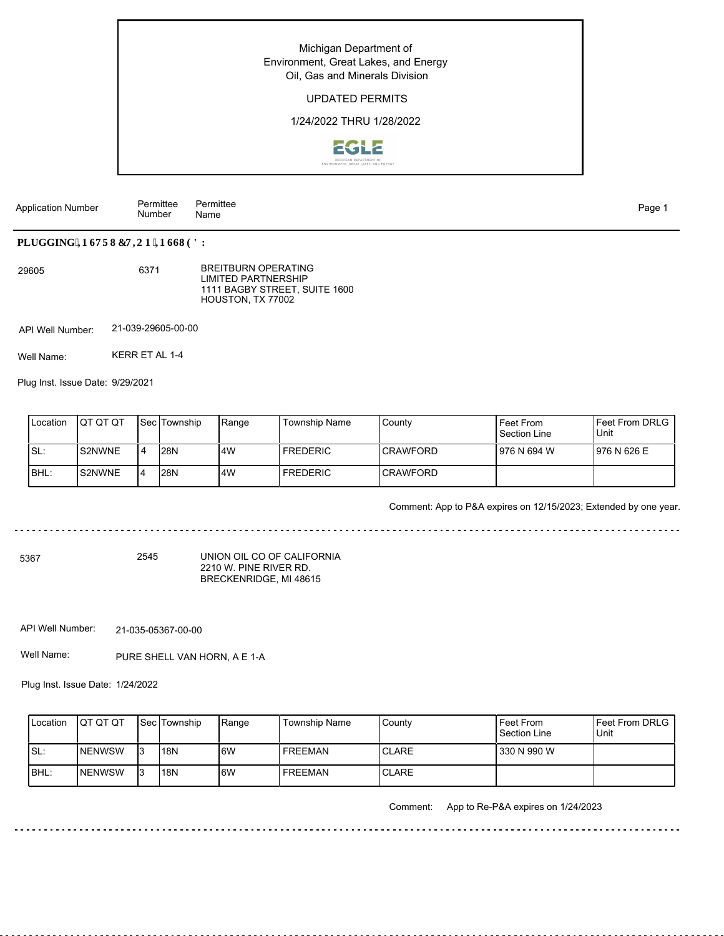#### UPDATED PERMITS

1/24/2022 THRU 1/28/2022



Permittee Number Permittee Name Application Number Permittee Permittee Permittee Permittee Permittee Permittee Permittee Permittee Permittee P

#### $PLUGGING'$ **R** UVT WE VIQP '**R** UUWGF:

| 29605 | 6371 | <b>BREITBURN OPERATING</b><br>LIMITED PARTNERSHIP  |
|-------|------|----------------------------------------------------|
|       |      | 1111 BAGBY STREET. SUITE 1600<br>HOUSTON, TX 77002 |

API Well Number: 21-039-29605-00-00

Well Name: KERR ET AL 1-4

Plug Inst. Issue Date: 9/29/2021

| <b>I</b> Location | <b>IQT QT QT</b> | <b>Sec Township</b> | Range | <b>Township Name</b> | 'County   | Feet From<br>Section Line | <b>IFeet From DRLG</b><br>Unit |
|-------------------|------------------|---------------------|-------|----------------------|-----------|---------------------------|--------------------------------|
| ISL:              | S2NWNE           | <b>28N</b>          | 14W   | <b>FREDERIC</b>      | ICRAWFORD | l 976 N 694 W             | 1976 N 626 E                   |
| BHL:              | S2NWNE           | <b>28N</b>          | l4W   | <b>FREDERIC</b>      | ICRAWFORD |                           |                                |

Comment: App to P&A expires on 12/15/2023; Extended by one year.

 $- - - - - -$ 

5367 2545

UNION OIL CO OF CALIFORNIA 2210 W. PINE RIVER RD. BRECKENRIDGE, MI 48615

API Well Number: 21-035-05367-00-00

Well Name: PURE SHELL VAN HORN, A E 1-A

Plug Inst. Issue Date: 1/24/2022

| Location | <b>IQT QT QT</b> |    | <b>Sec Township</b> | Range | <b>Township Name</b> | l Countv      | Feet From<br>Section Line | <b>IFeet From DRLG</b><br>Unit |
|----------|------------------|----|---------------------|-------|----------------------|---------------|---------------------------|--------------------------------|
| ISL:     | INENWSW          | פו | 18N                 | 6W    | l FREEMAN            | <b>ICLARE</b> | l 330 N 990 W             |                                |
| IBHL:    | INENWSW          |    | 18N                 | l6W   | l FREEMAN            | <b>ICLARE</b> |                           |                                |

Comment: App to Re-P&A expires on 1/24/2023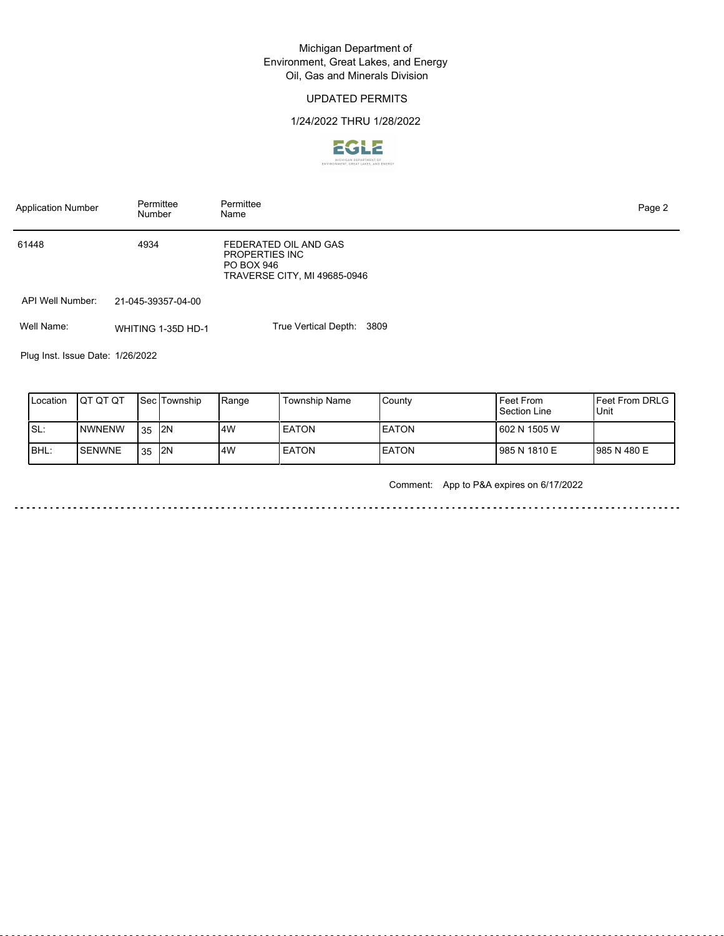## UPDATED PERMITS

### 1/24/2022 THRU 1/28/2022



| <b>Application Number</b> | Permittee<br>Number | Permittee<br>Name                                                                            | Page 2 |
|---------------------------|---------------------|----------------------------------------------------------------------------------------------|--------|
| 61448                     | 4934                | FEDERATED OIL AND GAS<br>PROPERTIES INC<br>PO BOX 946<br><b>TRAVERSE CITY, MI 49685-0946</b> |        |
| API Well Number:          | 21-045-39357-04-00  |                                                                                              |        |
| Well Name:                | WHITING 1-35D HD-1  | True Vertical Depth:<br>3809                                                                 |        |

Plug Inst. Issue Date: 1/26/2022

| <b>I</b> Location | <b>IQT QT QT</b> |    | l Sec lTownship | Range | ' Township Name | County        | Feet From<br>Section Line | <b>IFeet From DRLG</b><br><b>Unit</b> |
|-------------------|------------------|----|-----------------|-------|-----------------|---------------|---------------------------|---------------------------------------|
| ISL:              | <b>INWNENW</b>   | 35 | I <sub>2N</sub> | 4W    | <b>EATON</b>    | IEATON        | l 602 N 1505 W            |                                       |
| IBHL:             | <b>ISENWNE</b>   | 35 | I <sub>2N</sub> | 4W    | <b>EATON</b>    | <b>IEATON</b> | 985 N 1810 E              | 1985 N 480 E                          |

Comment: App to P&A expires on 6/17/2022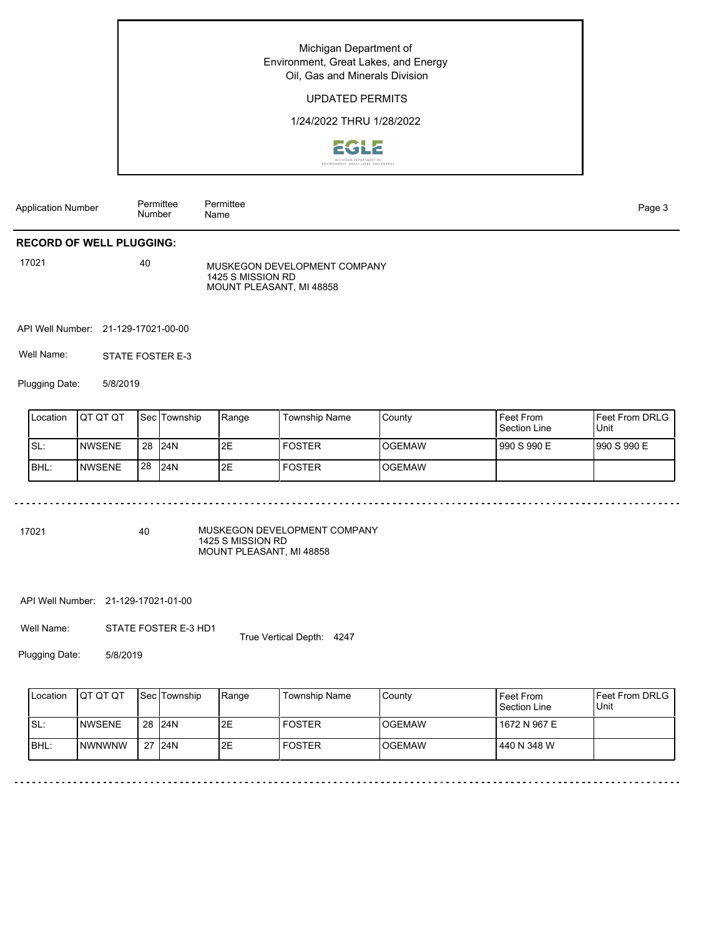### UPDATED PERMITS

#### 1/24/2022 THRU 1/28/2022



Application Number Permittee Permittee Permittee Permittee Permittee Permittee Page 3

Permittee Permittee Name

Number

#### **RECORD OF WELL PLUGGING:**

17021 40

MUSKEGON DEVELOPMENT COMPANY 1425 S MISSION RD MOUNT PLEASANT, MI 48858

API Well Number: 21-129-17021-00-00

Well Name: STATE FOSTER E-3

Plugging Date: 5/8/2019

| Location | <b>IQT QT QT</b> |    | <b>Sec Township</b> | <b>I</b> Range | <b>Township Name</b> | l Countv        | l Feet From<br>Section Line | <b>IFeet From DRLG</b><br>Unit |
|----------|------------------|----|---------------------|----------------|----------------------|-----------------|-----------------------------|--------------------------------|
| SL:      | <b>INWSENE</b>   | 28 | 124N                | 2E             | <b>FOSTER</b>        | IOGEMAW         | 1990 S 990 E                | 1990 S 990 E                   |
| IBHL:    | INWSENE          | 28 | 124N                | '2E            | l FOSTER             | <b>I</b> OGEMAW |                             |                                |

17021 40 MUSKEGON DEVELOPMENT COMPANY 1425 S MISSION RD MOUNT PLEASANT, MI 48858

API Well Number: 21-129-17021-01-00

Well Name: STATE FOSTER E-3 HD1 True Vertical Depth: 4247

Plugging Date: 5/8/2019

| Location | <b>IQT QT QT</b> |    | l Sec lTownship | Range | Township Name | County         | Feet From<br>Section Line | <b>IFeet From DRLG</b><br>Unit |
|----------|------------------|----|-----------------|-------|---------------|----------------|---------------------------|--------------------------------|
| ISL:     | <b>NWSENE</b>    | 28 | 124N            | 2E    | l FOSTER      | <b>IOGEMAW</b> | 1672 N 967 E              |                                |
| BHL:     | INWNWNW          | 27 | 124N            | 2E    | l FOSTER      | IOGEMAW        | 440 N 348 W               |                                |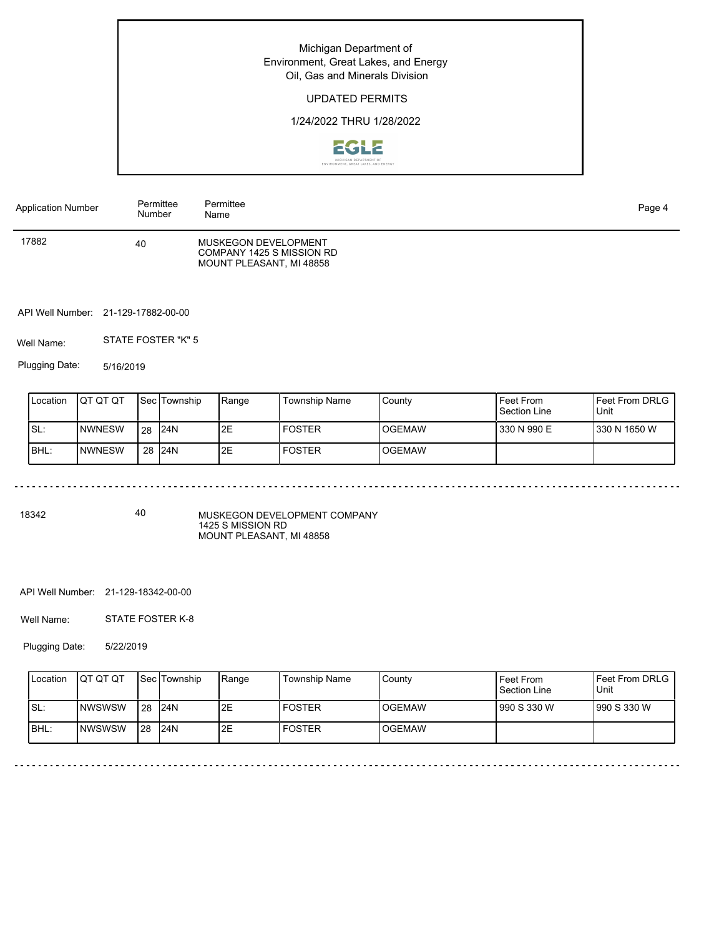### UPDATED PERMITS

#### 1/24/2022 THRU 1/28/2022



| <b>Application Number</b> | Permittee<br>Number | Permittee<br>Name                                                             | Page 4 |
|---------------------------|---------------------|-------------------------------------------------------------------------------|--------|
| 17882                     | 40                  | MUSKEGON DEVELOPMENT<br>COMPANY 1425 S MISSION RD<br>MOUNT PLEASANT, MI 48858 |        |

API Well Number: 21-129-17882-00-00

Well Name: STATE FOSTER "K" 5

Plugging Date: 5/16/2019

| <b>Location</b> | <b>IQT QT QT</b> |    | <b>I</b> Sec ITownship | Range | Township Name | County         | Feet From<br>Section Line | IFeet From DRLG I<br>Unit |
|-----------------|------------------|----|------------------------|-------|---------------|----------------|---------------------------|---------------------------|
| !SL∶            | INWNESW          | 28 | 124N                   | 2E    | l FOSTER      | <b>IOGEMAW</b> | 330 N 990 E               | 330 N 1650 W              |
| BHL:            | INWNESW          | 28 | 124N                   | 2E    | l FOSTER      | IOGEMAW        |                           |                           |

18342 40

MUSKEGON DEVELOPMENT COMPANY 1425 S MISSION RD MOUNT PLEASANT, MI 48858

API Well Number: 21-129-18342-00-00

Well Name: STATE FOSTER K-8

Plugging Date: 5/22/2019

| <b>I</b> Location | <b>IQT QT QT</b> |      | I Sec I Township | Range | <b>Township Name</b> | County         | Feet From<br>Section Line | <b>IFeet From DRLG</b><br>Unit |
|-------------------|------------------|------|------------------|-------|----------------------|----------------|---------------------------|--------------------------------|
| ISL:              | Inwswsw          | 28   | 124N             | 2E    | l FOSTER             | <b>IOGEMAW</b> | 990 S 330 W               | 1990 S 330 W                   |
| BHL:              | INWSWSW          | l 28 | 124N             | 2E    | <b>FOSTER</b>        | IOGEMAW        |                           |                                |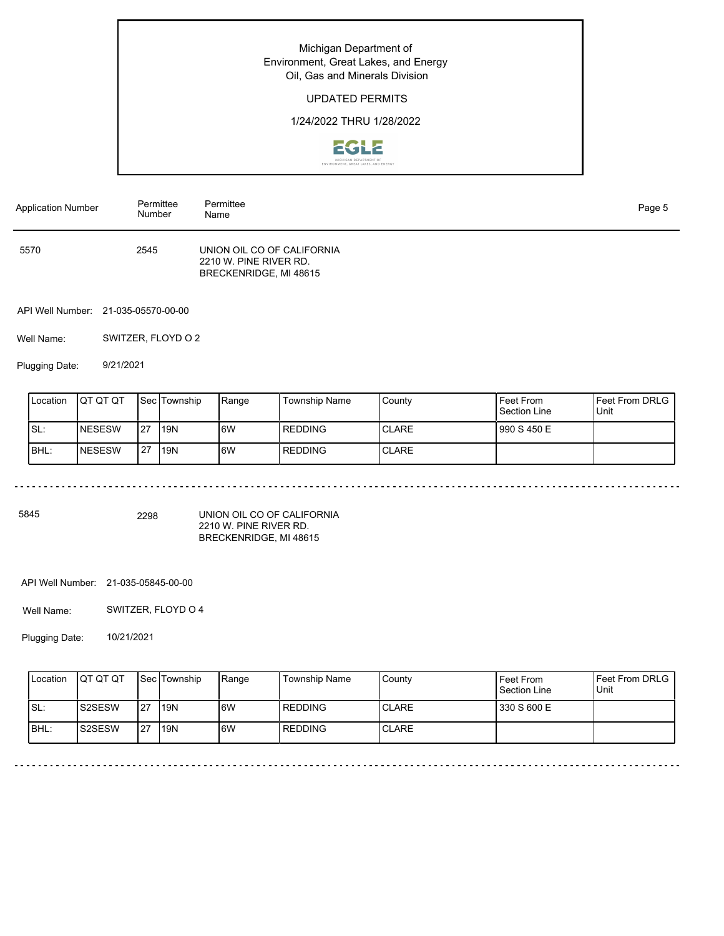### UPDATED PERMITS

#### 1/24/2022 THRU 1/28/2022



| <b>Application Number</b> | Permittee<br>Number | Permittee<br>Name                                    | Page 5 |
|---------------------------|---------------------|------------------------------------------------------|--------|
| 5570                      | 2545                | UNION OIL CO OF CALIFORNIA<br>2210 W. PINE RIVER RD. |        |

API Well Number: 21-035-05570-00-00

Well Name: SWITZER, FLOYD O 2

Plugging Date: 9/21/2021

| <b>Location</b> | <b>IQT QT QT</b> |      | <b>Sec Township</b> | Range | Township Name  | l Countv     | Feet From<br>Section Line | IFeet From DRLG I<br>Unit |
|-----------------|------------------|------|---------------------|-------|----------------|--------------|---------------------------|---------------------------|
| ISL:            | INESESW          | 127  | 19N                 | l6W   | <b>REDDING</b> | <b>CLARE</b> | 990 S 450 E               |                           |
| IBHL:           | <b>INESESW</b>   | l 27 | 19N                 | 6W    | <b>REDDING</b> | ICLARE.      |                           |                           |

5845 2298

UNION OIL CO OF CALIFORNIA 2210 W. PINE RIVER RD. BRECKENRIDGE, MI 48615

BRECKENRIDGE, MI 48615

API Well Number: 21-035-05845-00-00

Well Name: SWITZER, FLOYD O 4

Plugging Date: 10/21/2021

| Location | <b>IQT QT QT</b> |     | <b>Sec Township</b> | Range | <b>Township Name</b> | County        | Feet From<br>Section Line | <b>IFeet From DRLG</b><br>Unit |
|----------|------------------|-----|---------------------|-------|----------------------|---------------|---------------------------|--------------------------------|
| !SL∶     | <b>S2SESW</b>    | 127 | l19N                | 6W    | REDDING              | <b>ICLARE</b> | 330 S 600 E               |                                |
| BHL:     | <b>S2SESW</b>    | 127 | l19N                | 6W    | REDDING              | <b>ICLARE</b> |                           |                                |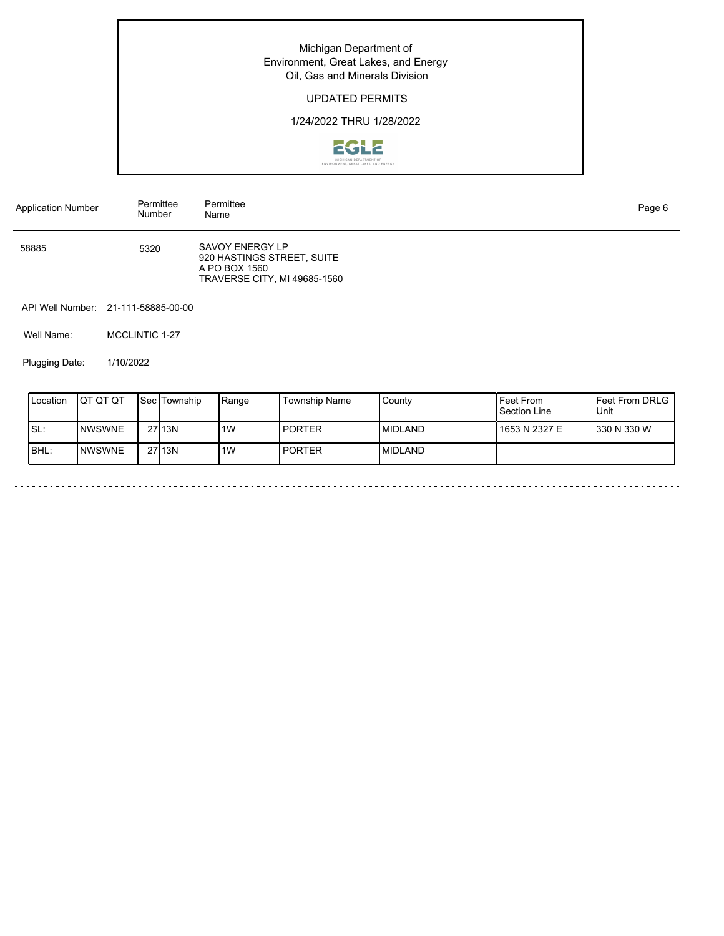## UPDATED PERMITS

### 1/24/2022 THRU 1/28/2022



| <b>Application Number</b> | Permittee<br>Number | Permittee<br>Name                                                                              | Page 6 |
|---------------------------|---------------------|------------------------------------------------------------------------------------------------|--------|
| 58885                     | 5320                | SAVOY ENERGY LP<br>920 HASTINGS STREET, SUITE<br>A PO BOX 1560<br>TRAVERSE CITY, MI 49685-1560 |        |

API Well Number: 21-111-58885-00-00

Well Name: MCCLINTIC 1-27

Plugging Date: 1/10/2022

| Location | ΙΟΤ ΟΤ ΟΤ     | l Sec lTownship | Range | <b>Township Name</b> | County   | Feet From<br>Section Line | IFeet From DRLG<br>Unit |
|----------|---------------|-----------------|-------|----------------------|----------|---------------------------|-------------------------|
| ISL:     | <b>NWSWNE</b> | 27113N          | 1W    | l PORTER             | IMIDLAND | 1653 N 2327 E             | 1330 N 330 W            |
| IBHL:    | INWSWNE       | 27113N          | 1W    | l PORTER             | IMIDLAND |                           |                         |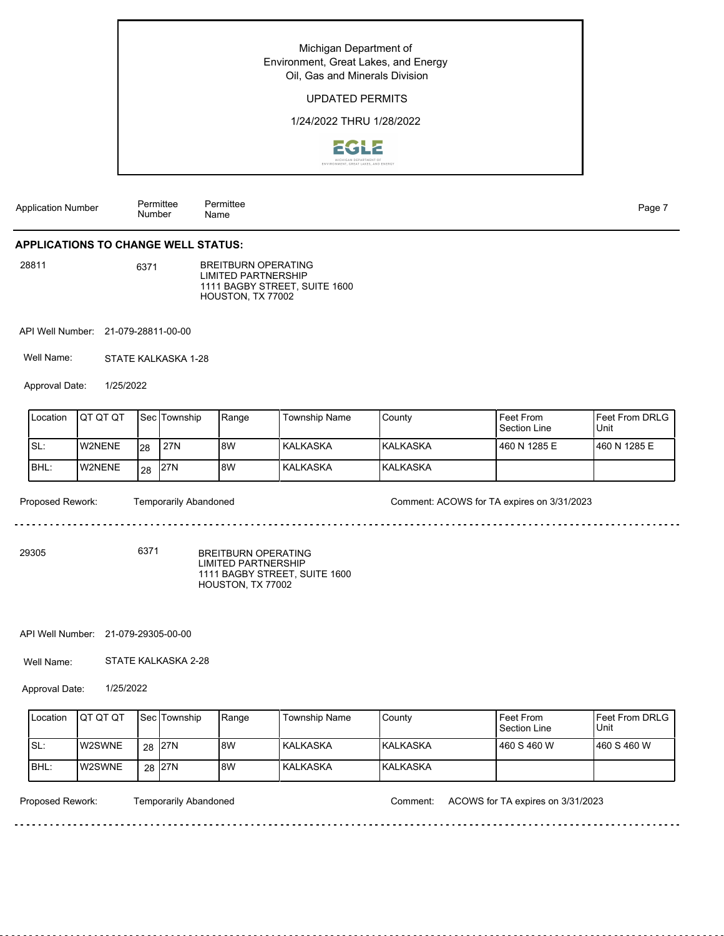#### UPDATED PERMITS

1/24/2022 THRU 1/28/2022



Permittee Number Permittee Name Application Number Permittee Permittee Permittee Permittee Permittee Permittee Page 7

#### **APPLICATIONS TO CHANGE WELL STATUS:**

| 28811 | 6371 | BREITBURN OPERATING<br>LIMITED PARTNERSHIP<br>1111 BAGBY STREET. SUITE 1600<br>HOUSTON, TX 77002 |
|-------|------|--------------------------------------------------------------------------------------------------|
|       |      |                                                                                                  |

API Well Number: 21-079-28811-00-00

Well Name: STATE KALKASKA 1-28

Approval Date: 1/25/2022

| Location | ΙΟΤ ΟΤ ΟΤ |     | l Sec lTownship | l Range | <b>Township Name</b> | County           | Feet From<br>Section Line | <b>IFeet From DRLG</b><br>Unit |
|----------|-----------|-----|-----------------|---------|----------------------|------------------|---------------------------|--------------------------------|
| SL:      | W2NENE    | 128 | 27N             | 8W      | KALKASKA             | IKALKASKA        | 1460 N 1285 E             | 1460 N 1285 E                  |
| BHL:     | IW2NENE   | 28  | <b>27N</b>      | 8W      | l KALKASKA           | <b>IKALKASKA</b> |                           |                                |

Proposed Rework: Temporarily Abandoned Comment: ACOWS for TA expires on 3/31/2023

29305 6371 BREITBURN OPERATING LIMITED PARTNERSHIP 1111 BAGBY STREET, SUITE 1600 HOUSTON, TX 77002

<u>. . . . . . . . . . . .</u>

API Well Number: 21-079-29305-00-00

Well Name: STATE KALKASKA 2-28

Approval Date: 1/25/2022

| <b>I</b> Location | <b>IQT QT QT</b> |    | l Sec lTownship | Range | <b>Township Name</b> | County           | Feet From<br>Section Line | <b>IFeet From DRLG</b><br>Unit |
|-------------------|------------------|----|-----------------|-------|----------------------|------------------|---------------------------|--------------------------------|
| ISL:              | IW2SWNE          | 28 | 127N            | 18W   | KALKASKA             | <b>IKALKASKA</b> | 460 S 460 W               | 1460 S 460 W                   |
| IBHL:             | W2SWNE           |    | 28 27N          | l8W   | KALKASKA             | <b>IKALKASKA</b> |                           |                                |

Proposed Rework: Temporarily Abandoned Comment: ACOWS for TA expires on 3/31/2023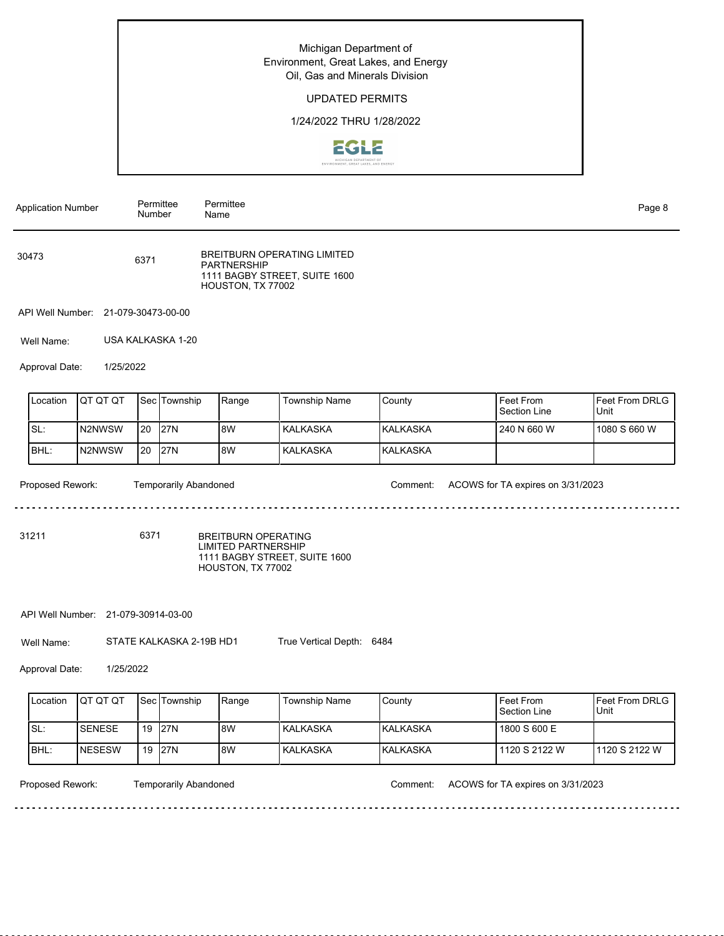## UPDATED PERMITS

## 1/24/2022 THRU 1/28/2022



| <b>Application Number</b> |                                     | Permittee<br><b>Number</b> |                              | Permittee<br>Name                                                                                              |                               |                 |                                   | Page 8                 |
|---------------------------|-------------------------------------|----------------------------|------------------------------|----------------------------------------------------------------------------------------------------------------|-------------------------------|-----------------|-----------------------------------|------------------------|
| 30473                     |                                     | 6371                       |                              | <b>BREITBURN OPERATING LIMITED</b><br><b>PARTNERSHIP</b><br>1111 BAGBY STREET, SUITE 1600<br>HOUSTON, TX 77002 |                               |                 |                                   |                        |
|                           | API Well Number: 21-079-30473-00-00 |                            |                              |                                                                                                                |                               |                 |                                   |                        |
| Well Name:                |                                     |                            | USA KALKASKA 1-20            |                                                                                                                |                               |                 |                                   |                        |
| Approval Date:            | 1/25/2022                           |                            |                              |                                                                                                                |                               |                 |                                   |                        |
| Location                  | QT QT QT                            |                            | Sec Township                 | Range                                                                                                          | <b>Township Name</b>          | County          | Feet From<br>Section Line         | Feet From DRLG<br>Unit |
| SL:                       | N2NWSW                              | 20                         | <b>27N</b>                   | 8W                                                                                                             | <b>KALKASKA</b>               | <b>KALKASKA</b> | 240 N 660 W                       | 1080 S 660 W           |
| BHL:                      | N2NWSW                              | 20                         | <b>27N</b>                   | 8W                                                                                                             | <b>KALKASKA</b>               | <b>KALKASKA</b> |                                   |                        |
| Proposed Rework:<br>31211 |                                     | 6371                       | <b>Temporarily Abandoned</b> | <b>BREITBURN OPERATING</b><br><b>LIMITED PARTNERSHIP</b><br>HOUSTON, TX 77002                                  | 1111 BAGBY STREET, SUITE 1600 | Comment:        | ACOWS for TA expires on 3/31/2023 |                        |
|                           | API Well Number: 21-079-30914-03-00 |                            |                              |                                                                                                                |                               |                 |                                   |                        |
| Well Name:                |                                     |                            | STATE KALKASKA 2-19B HD1     |                                                                                                                | True Vertical Depth: 6484     |                 |                                   |                        |
| Approval Date:            | 1/25/2022                           |                            |                              |                                                                                                                |                               |                 |                                   |                        |
| Location                  | QT QT QT                            |                            | Sec Township                 | Range                                                                                                          | <b>Township Name</b>          | County          | Feet From<br><b>Section Line</b>  | Feet From DRLG<br>Unit |
| SL:                       | <b>SENESE</b>                       |                            | 19 27N                       | 8W                                                                                                             | KALKASKA                      | <b>KALKASKA</b> | 1800 S 600 E                      |                        |
| BHL:                      | <b>NESESW</b>                       | 19                         | 27N                          | 8W                                                                                                             | <b>KALKASKA</b>               | <b>KALKASKA</b> | 1120 S 2122 W                     | 1120 S 2122 W          |
| Proposed Rework:          |                                     |                            | <b>Temporarily Abandoned</b> |                                                                                                                |                               | Comment:        | ACOWS for TA expires on 3/31/2023 |                        |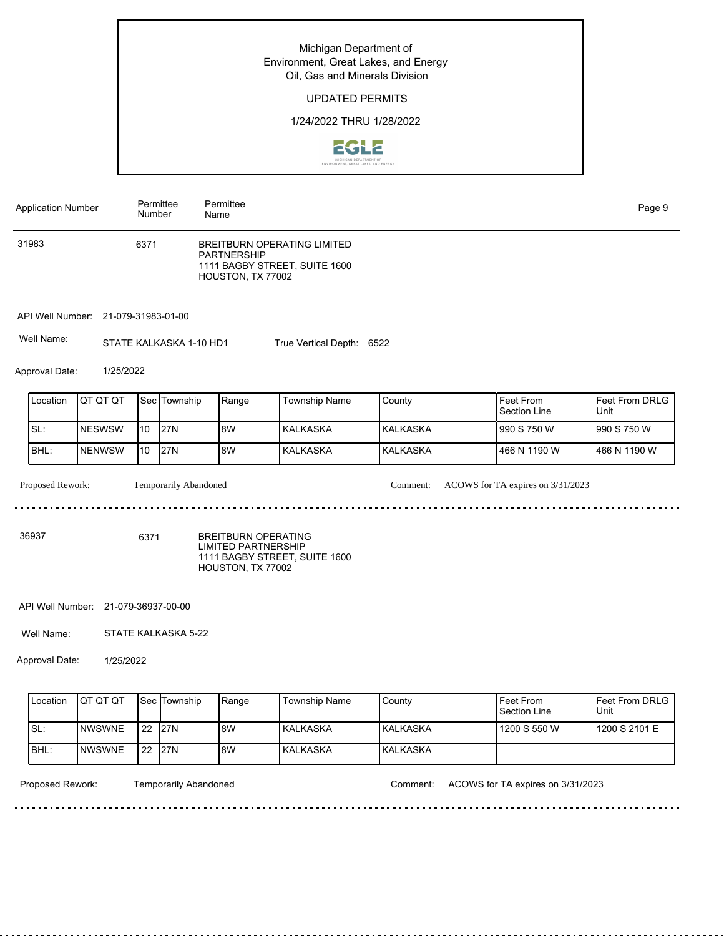### UPDATED PERMITS

### 1/24/2022 THRU 1/28/2022



| <b>Application Number</b> |                                                                                                                                 |                                     | Permittee<br>Number                                                                                                    | Name                    | Permittee |                           |                 |                                  | Page 9                 |  |  |
|---------------------------|---------------------------------------------------------------------------------------------------------------------------------|-------------------------------------|------------------------------------------------------------------------------------------------------------------------|-------------------------|-----------|---------------------------|-----------------|----------------------------------|------------------------|--|--|
| 31983                     |                                                                                                                                 |                                     | 6371<br><b>BREITBURN OPERATING LIMITED</b><br><b>PARTNERSHIP</b><br>1111 BAGBY STREET, SUITE 1600<br>HOUSTON, TX 77002 |                         |           |                           |                 |                                  |                        |  |  |
|                           |                                                                                                                                 | API Well Number: 21-079-31983-01-00 |                                                                                                                        |                         |           |                           |                 |                                  |                        |  |  |
|                           | Well Name:                                                                                                                      |                                     |                                                                                                                        | STATE KALKASKA 1-10 HD1 |           | True Vertical Depth: 6522 |                 |                                  |                        |  |  |
|                           | Approval Date:                                                                                                                  | 1/25/2022                           |                                                                                                                        |                         |           |                           |                 |                                  |                        |  |  |
|                           | Location                                                                                                                        | QT QT QT                            |                                                                                                                        | Sec Township            | Range     | <b>Township Name</b>      | County          | Feet From<br><b>Section Line</b> | Feet From DRLG<br>Unit |  |  |
|                           | SL:                                                                                                                             | <b>NESWSW</b>                       | 10                                                                                                                     | 27N                     | 8W        | <b>KALKASKA</b>           | <b>KALKASKA</b> | 990 S 750 W                      | 990 S 750 W            |  |  |
|                           | BHL:                                                                                                                            | <b>NENWSW</b>                       | 110                                                                                                                    | 27N                     | 8W        | <b>KALKASKA</b>           | <b>KALKASKA</b> | 466 N 1190 W                     | 466 N 1190 W           |  |  |
|                           | Proposed Rework:<br>Temporarily Abandoned<br>ACOWS for TA expires on 3/31/2023<br>Comment:                                      |                                     |                                                                                                                        |                         |           |                           |                 |                                  |                        |  |  |
|                           | <b>BREITBURN OPERATING</b><br>36937<br>6371<br><b>LIMITED PARTNERSHIP</b><br>1111 BAGBY STREET, SUITE 1600<br>HOUSTON, TX 77002 |                                     |                                                                                                                        |                         |           |                           |                 |                                  |                        |  |  |
|                           |                                                                                                                                 | API Well Number: 21-079-36937-00-00 |                                                                                                                        |                         |           |                           |                 |                                  |                        |  |  |
|                           | Well Name:                                                                                                                      |                                     |                                                                                                                        | STATE KALKASKA 5-22     |           |                           |                 |                                  |                        |  |  |
|                           | Approval Date:                                                                                                                  | 1/25/2022                           |                                                                                                                        |                         |           |                           |                 |                                  |                        |  |  |
|                           | Location                                                                                                                        | QT QT QT                            |                                                                                                                        | Sec Township            | Range     | Township Name             | County          | Feet From<br>Section Line        | Feet From DRLG<br>Unit |  |  |
|                           | SL:                                                                                                                             | <b>NWSWNE</b>                       | 22                                                                                                                     | <b>27N</b>              | 8W        | <b>KALKASKA</b>           | <b>KALKASKA</b> | 1200 S 550 W                     | 1200 S 2101 E          |  |  |
|                           | BHL:                                                                                                                            | <b>NWSWNE</b>                       |                                                                                                                        | 22 27N                  | 8W        | <b>KALKASKA</b>           | <b>KALKASKA</b> |                                  |                        |  |  |

Proposed Rework: Temporarily Abandoned Comment: ACOWS for TA expires on 3/31/2023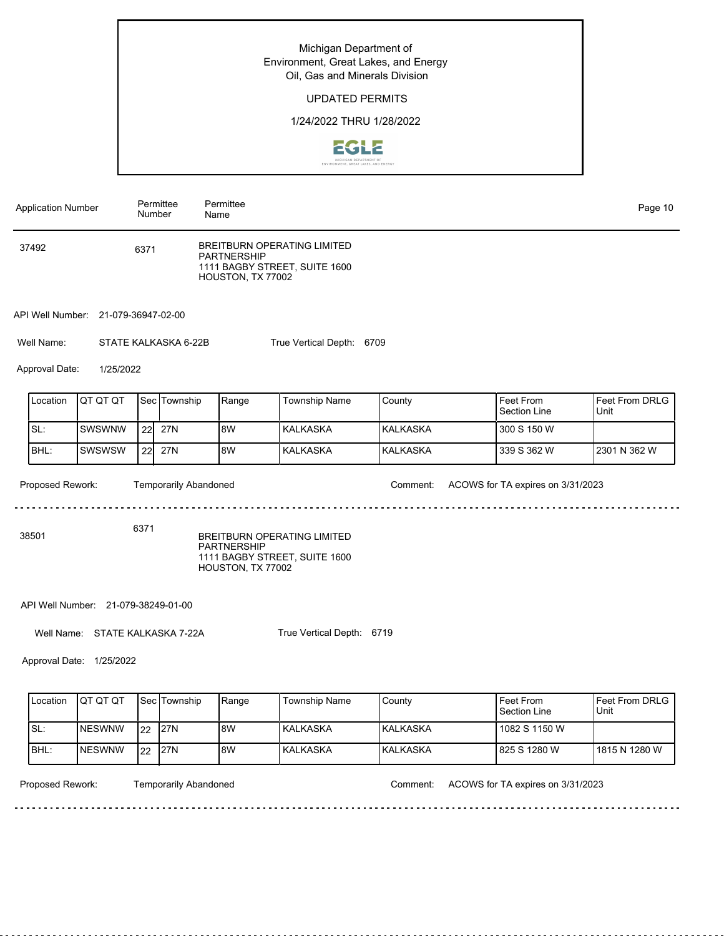### UPDATED PERMITS

### 1/24/2022 THRU 1/28/2022



| <b>Application Number</b> |                                     | Number | Permittee                    | Permittee<br>Name                       |                                                                     |                 |                                   | Page 10                |
|---------------------------|-------------------------------------|--------|------------------------------|-----------------------------------------|---------------------------------------------------------------------|-----------------|-----------------------------------|------------------------|
| 37492                     |                                     | 6371   |                              | <b>PARTNERSHIP</b><br>HOUSTON, TX 77002 | <b>BREITBURN OPERATING LIMITED</b><br>1111 BAGBY STREET, SUITE 1600 |                 |                                   |                        |
|                           | API Well Number: 21-079-36947-02-00 |        |                              |                                         |                                                                     |                 |                                   |                        |
| Well Name:                |                                     |        | STATE KALKASKA 6-22B         |                                         | True Vertical Depth: 6709                                           |                 |                                   |                        |
| Approval Date:            | 1/25/2022                           |        |                              |                                         |                                                                     |                 |                                   |                        |
| Location                  | QT QT QT                            |        | Sec Township                 | Range                                   | <b>Township Name</b>                                                | County          | Feet From<br><b>Section Line</b>  | Feet From DRLG<br>Unit |
| SL:                       | SWSWNW                              | 22     | 27N                          | 8W                                      | <b>KALKASKA</b>                                                     | <b>KALKASKA</b> | 300 S 150 W                       |                        |
| BHL:                      | SWSWSW                              | 22     | 27N                          | 8W                                      | <b>KALKASKA</b>                                                     | <b>KALKASKA</b> | 339 S 362 W                       | 2301 N 362 W           |
| Proposed Rework:<br>38501 |                                     | 6371   | <b>Temporarily Abandoned</b> | <b>PARTNERSHIP</b><br>HOUSTON, TX 77002 | <b>BREITBURN OPERATING LIMITED</b><br>1111 BAGBY STREET, SUITE 1600 | Comment:        | ACOWS for TA expires on 3/31/2023 |                        |
|                           | API Well Number: 21-079-38249-01-00 |        |                              |                                         |                                                                     |                 |                                   |                        |
|                           | Well Name: STATE KALKASKA 7-22A     |        |                              |                                         | True Vertical Depth: 6719                                           |                 |                                   |                        |
|                           | Approval Date: 1/25/2022            |        |                              |                                         |                                                                     |                 |                                   |                        |
| Location                  | QT QT QT                            |        | Sec Township                 | Range                                   | <b>Township Name</b>                                                | County          | Feet From<br><b>Section Line</b>  | Feet From DRLG<br>Unit |
| SL:                       | <b>NESWNW</b>                       | 22     | 27N                          | 8W                                      | <b>KALKASKA</b>                                                     | KALKASKA        | 1082 S 1150 W                     |                        |
| BHL:                      | <b>NESWNW</b>                       | 22     | <b>27N</b>                   | 8W                                      | <b>KALKASKA</b>                                                     | <b>KALKASKA</b> | 825 S 1280 W                      | 1815 N 1280 W          |

<u>. . . . . . . . . . . .</u>

Temporarily Abandoned

Proposed Rework: Temporarily Abandoned Comment: ACOWS for TA expires on 3/31/2023

. . . . . . . . . . . .  $\frac{1}{2}$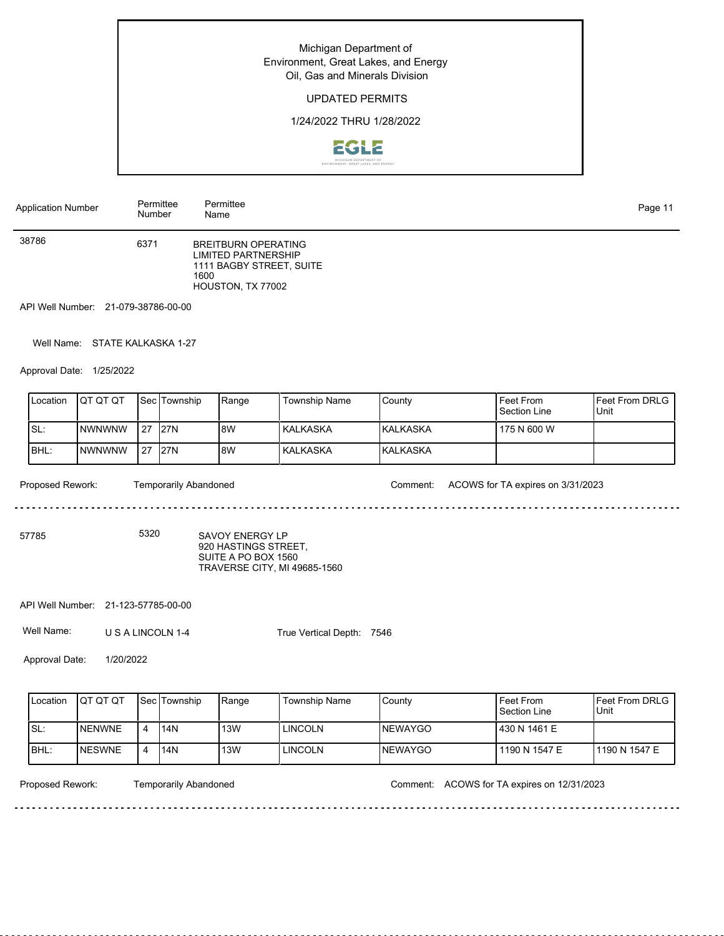### UPDATED PERMITS

1/24/2022 THRU 1/28/2022



| <b>Application Number</b> | Permittee<br>Number | Permittee<br>Name                                                                                                 | Page 11 |
|---------------------------|---------------------|-------------------------------------------------------------------------------------------------------------------|---------|
| 38786                     | 6371                | <b>BREITBURN OPERATING</b><br><b>LIMITED PARTNERSHIP</b><br>1111 BAGBY STREET, SUITE<br>1600<br>HOUSTON, TX 77002 |         |

API Well Number: 21-079-38786-00-00

Well Name: STATE KALKASKA 1-27

Approval Date: 1/25/2022

| Location         | QT QT QT                                                                                                      |    | Sec Township                 | Range      | <b>Township Name</b>      | County          | Feet From<br><b>Section Line</b>  | Feet From DRLG<br>Unit |  |
|------------------|---------------------------------------------------------------------------------------------------------------|----|------------------------------|------------|---------------------------|-----------------|-----------------------------------|------------------------|--|
| SL:              | <b>NWNWNW</b>                                                                                                 | 27 | <b>27N</b>                   | 8W         | <b>KALKASKA</b>           | <b>KALKASKA</b> | 175 N 600 W                       |                        |  |
| BHL:             | <b>NWNWNW</b>                                                                                                 | 27 | <b>27N</b>                   | 8W         | <b>KALKASKA</b>           | KALKASKA        |                                   |                        |  |
| Proposed Rework: |                                                                                                               |    | <b>Temporarily Abandoned</b> |            |                           | Comment:        | ACOWS for TA expires on 3/31/2023 |                        |  |
| 57785            | 5320<br><b>SAVOY ENERGY LP</b><br>920 HASTINGS STREET.<br>SUITE A PO BOX 1560<br>TRAVERSE CITY, MI 49685-1560 |    |                              |            |                           |                 |                                   |                        |  |
|                  | API Well Number: 21-123-57785-00-00                                                                           |    |                              |            |                           |                 |                                   |                        |  |
| Well Name:       | U S A LINCOLN 1-4                                                                                             |    |                              |            | True Vertical Depth: 7546 |                 |                                   |                        |  |
| Approval Date:   | 1/20/2022                                                                                                     |    |                              |            |                           |                 |                                   |                        |  |
| Location         | QT QT QT                                                                                                      |    | Sec Township                 | Range      | <b>Township Name</b>      | County          | Feet From<br><b>Section Line</b>  | Feet From DRLG<br>Unit |  |
| SL:              | <b>NENWNE</b>                                                                                                 | 4  | <b>14N</b>                   | <b>13W</b> | <b>LINCOLN</b>            | <b>NEWAYGO</b>  | 430 N 1461 E                      |                        |  |

**LINCOLN** 

NEWAYGO

NESWNE

<u>. . . . . . . . . .</u>

BHL:

Temporarily Abandoned

14N 13W

4

Proposed Rework: Comment: ACOWS for TA expires on 12/31/2023

1190 N 1547 E

1190 N 1547 E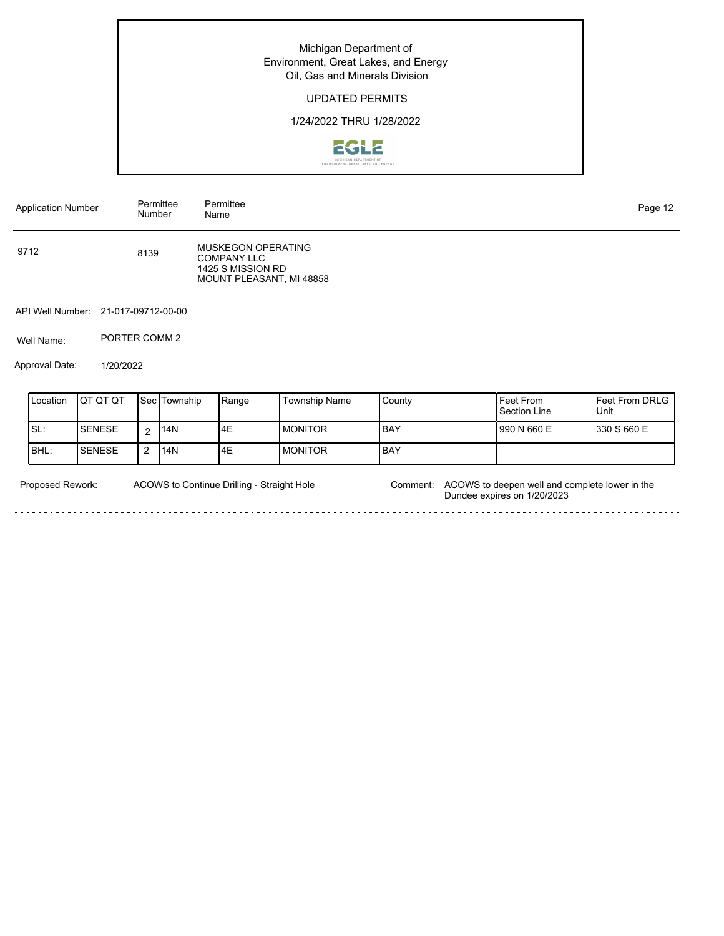### UPDATED PERMITS

### 1/24/2022 THRU 1/28/2022



| <b>Application Number</b> | Permittee<br>Number | Permittee<br>Name                                                                                | Page 12 |
|---------------------------|---------------------|--------------------------------------------------------------------------------------------------|---------|
| 9712                      | 8139                | <b>MUSKEGON OPERATING</b><br><b>COMPANY LLC</b><br>1425 S MISSION RD<br>MOUNT PLEASANT, MI 48858 |         |

API Well Number: 21-017-09712-00-00

Well Name: PORTER COMM 2

Approval Date: 1/20/2022

| Location | ΙΟΤ ΟΤ ΟΤ     |   | l Sec lTownship | Range | Township Name | County | Feet From<br>Section Line | <b>IFeet From DRLG</b><br>Unit |
|----------|---------------|---|-----------------|-------|---------------|--------|---------------------------|--------------------------------|
| ISL:     | <b>SENESE</b> |   | 114N            | 4E    | I MONITOR     | IBAY   | 990 N 660 E               | 1330 S 660 E                   |
| IBHL:    | ISENESE       | າ | 114N            | 4E    | I MONITOR     | IBAY   |                           |                                |

ACOWS to Continue Drilling - Straight Hole Proposed Rework: ACOWS to Continue Drilling - Straight Hole Comment: ACOWS to deepen well and complete lower in the Dundee expires on 1/20/2023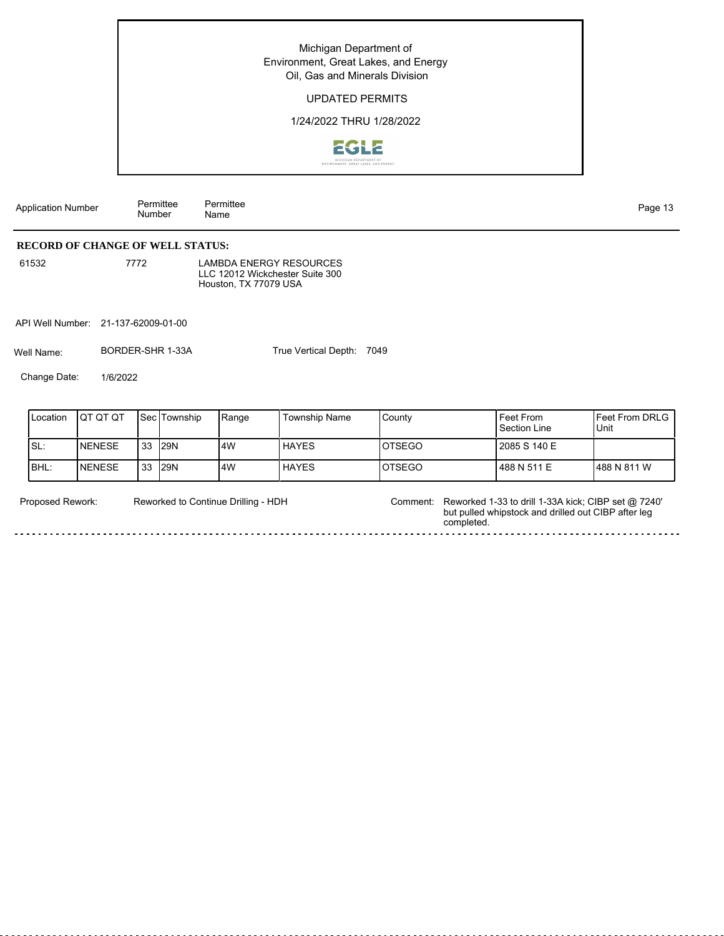#### UPDATED PERMITS

1/24/2022 THRU 1/28/2022



| <b>Application Number</b> | <u>Leurure</u><br>Number                | <b>Permittee</b><br>Name                                                            | Page 13 |
|---------------------------|-----------------------------------------|-------------------------------------------------------------------------------------|---------|
|                           | <b>RECORD OF CHANGE OF WELL STATUS:</b> |                                                                                     |         |
| 61532                     | 7772                                    | LAMBDA ENERGY RESOURCES<br>LLC 12012 Wickchester Suite 300<br>Houston, TX 77079 USA |         |

API Well Number: 21-137-62009-01-00

Well Name: BORDER-SHR 1-33A True Vertical Depth: 7049

Permittee

Permittee

Change Date: 1/6/2022

| Location | ΙΟΤ ΟΤ ΟΤ      |    | l Sec lTownship | l Range | <b>Township Name</b> | County         | Feet From<br>Section Line | <b>IFeet From DRLG</b><br>Unit |
|----------|----------------|----|-----------------|---------|----------------------|----------------|---------------------------|--------------------------------|
| SL:      | <b>INENESE</b> | 33 | 129N            | l4W     | <b>HAYES</b>         | <b>IOTSEGO</b> | 2085 S 140 E              |                                |
| IBHL:    | INENESE        | 33 | 129N            | l4W     | <b>HAYES</b>         | <b>IOTSEGO</b> | 488 N 511 E               | 1488 N 811 W                   |

Reworked to Continue Drilling - HDH

Proposed Rework: Reworked 1-33 to drill 1-33A kick; CIBP set @ 7240' Comment: but pulled whipstock and drilled out CIBP after leg completed.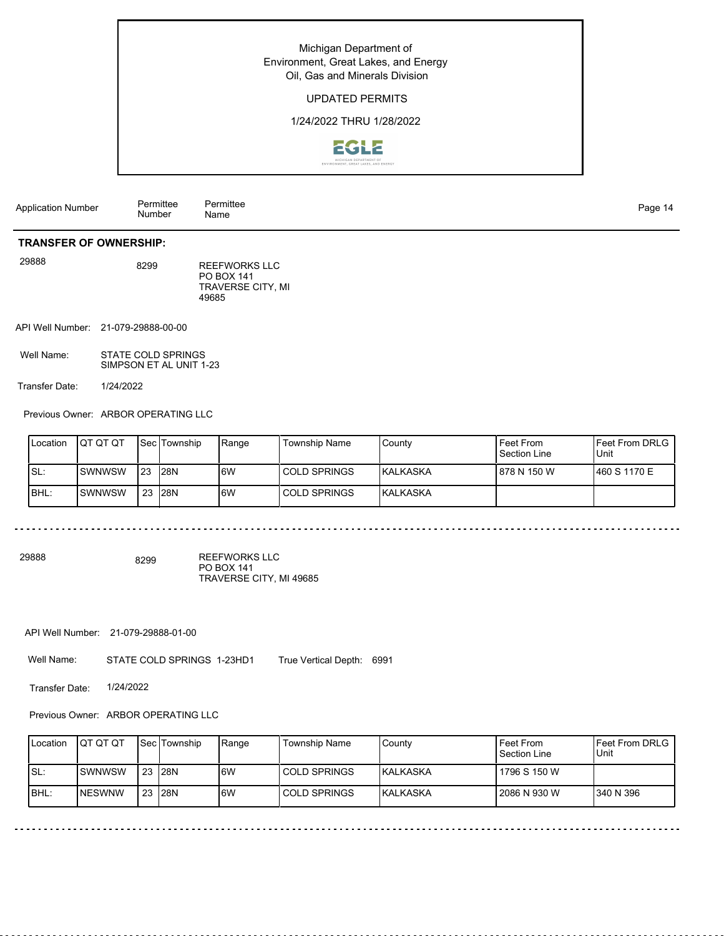### UPDATED PERMITS

#### 1/24/2022 THRU 1/28/2022



Permittee Number Application Number Permittee Permittee Permittee Permittee Permittee Page 14

Permittee Name

#### **TRANSFER OF OWNERSHIP:**

| 29888 |      |                          |
|-------|------|--------------------------|
|       | 8299 | REEFWORKS LLC            |
|       |      | <b>PO BOX 141</b>        |
|       |      | <b>TRAVERSE CITY. MI</b> |
|       |      | 49685                    |

API Well Number: 21-079-29888-00-00

Well Name: STATE COLD SPRINGS SIMPSON ET AL UNIT 1-23

Transfer Date: 1/24/2022

Previous Owner: ARBOR OPERATING LLC

| Location | IQT QT QT |      | l Sec lTownship | Range | Township Name         | County           | Feet From<br>Section Line | IFeet From DRLG I<br>Unit |
|----------|-----------|------|-----------------|-------|-----------------------|------------------|---------------------------|---------------------------|
| SL:      | Iswnwsw   | l 23 | 128N            | 6W    | <b>I COLD SPRINGS</b> | <b>IKALKASKA</b> | l 878 N 150 W             | 1460 S 1170 E             |
| IBHL:    | Iswnwsw   | -23  | 128N            | 6W    | <b>I COLD SPRINGS</b> | <b>IKALKASKA</b> |                           |                           |

. . . . . . . . .

29888 8299 REEFWORKS LLC PO BOX 141 TRAVERSE CITY, MI 49685

API Well Number: 21-079-29888-01-00

Well Name: STATE COLD SPRINGS 1-23HD1 True Vertical Depth: 6991

Transfer Date: 1/24/2022

#### Previous Owner: ARBOR OPERATING LLC

<u>. . . . . . . . . . . . .</u>

| Location. | <b>IQT QT QT</b> | <b>Sec Township</b> | Range | Township Name  | l Countv         | Feet From<br>Section Line | <b>IFeet From DRLG</b><br>Unit |
|-----------|------------------|---------------------|-------|----------------|------------------|---------------------------|--------------------------------|
| 'SL:      | Iswnwsw          | 23 I28N             | 6W    | I COLD SPRINGS | <b>IKALKASKA</b> | 1796 S 150 W              |                                |
| IBHL:     | INESWNW          | 23 I28N             | 6W    | l COLD SPRINGS | <b>IKALKASKA</b> | 2086 N 930 W              | 1340 N 396                     |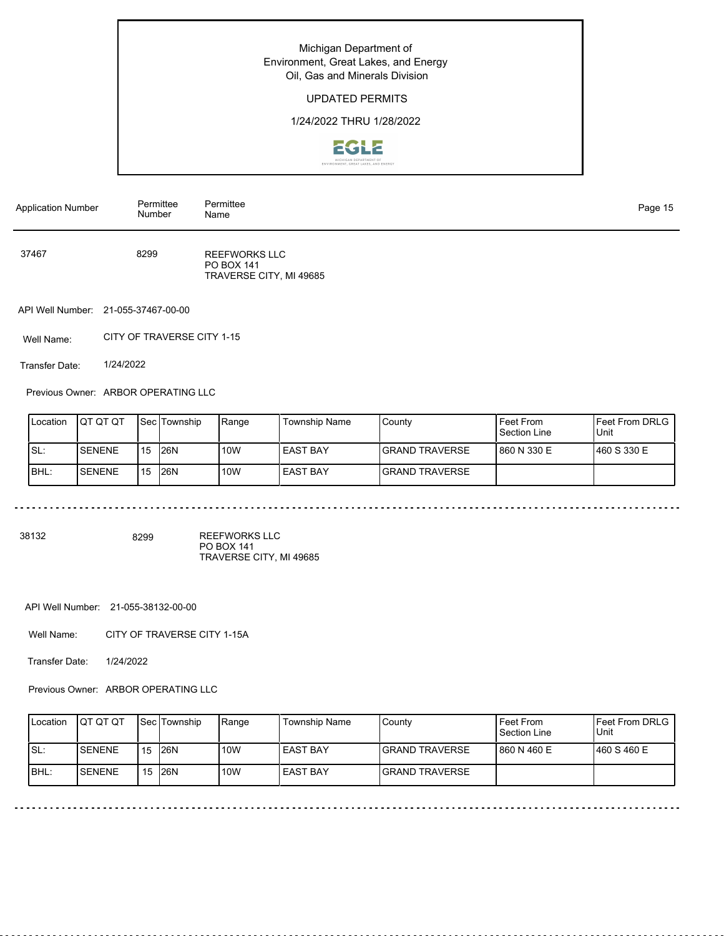### UPDATED PERMITS

#### 1/24/2022 THRU 1/28/2022



| <b>Application Number</b> | Permittee<br><b>Number</b> | Permittee<br>Name    | Page 15 |
|---------------------------|----------------------------|----------------------|---------|
| 37467                     | 8299                       | <b>REEFWORKS LLC</b> |         |

TRAVERSE CITY, MI 49685

API Well Number: 21-055-37467-00-00

Well Name: CITY OF TRAVERSE CITY 1-15

Transfer Date: 1/24/2022

Previous Owner: ARBOR OPERATING LLC

| Location | ΙΟΤ ΟΤ ΟΤ     |    | l Sec lTownship | Range | Township Name | County                 | Feet From<br>Section Line | <b>IFeet From DRLG</b><br>Unit |
|----------|---------------|----|-----------------|-------|---------------|------------------------|---------------------------|--------------------------------|
| ISL:     | <b>SENENE</b> | 15 | 126N            | 10W   | l EAST BAY    | <b>IGRAND TRAVERSE</b> | l 860 N 330 E             | 1460 S 330 E                   |
| IBHL:    | <b>SENENE</b> | 15 | <b>I26N</b>     | 10W   | l EAST BAY    | <b>IGRAND TRAVERSE</b> |                           |                                |

38132 8299

REEFWORKS LLC PO BOX 141 TRAVERSE CITY, MI 49685

PO BOX 141

API Well Number: 21-055-38132-00-00

Well Name: CITY OF TRAVERSE CITY 1-15A

Transfer Date: 1/24/2022

Previous Owner: ARBOR OPERATING LLC

|       | <b>I</b> Location | <b>IQT QT QT</b> |    | <b>ISec ITownship</b> | Range | Township Name   | l Countv               | Feet From<br>Section Line | <b>IFeet From DRLG</b> I<br>Unit |
|-------|-------------------|------------------|----|-----------------------|-------|-----------------|------------------------|---------------------------|----------------------------------|
| ISL:  |                   | <b>ISENENE</b>   | 15 | <b>26N</b>            | 10W   | <b>EAST BAY</b> | <b>IGRAND TRAVERSE</b> | 1860 N 460 E              | 1460 S 460 E                     |
| IBHL: |                   | <b>ISENENE</b>   | 15 | 126N                  | 10W   | <b>EAST BAY</b> | <b>IGRAND TRAVERSE</b> |                           |                                  |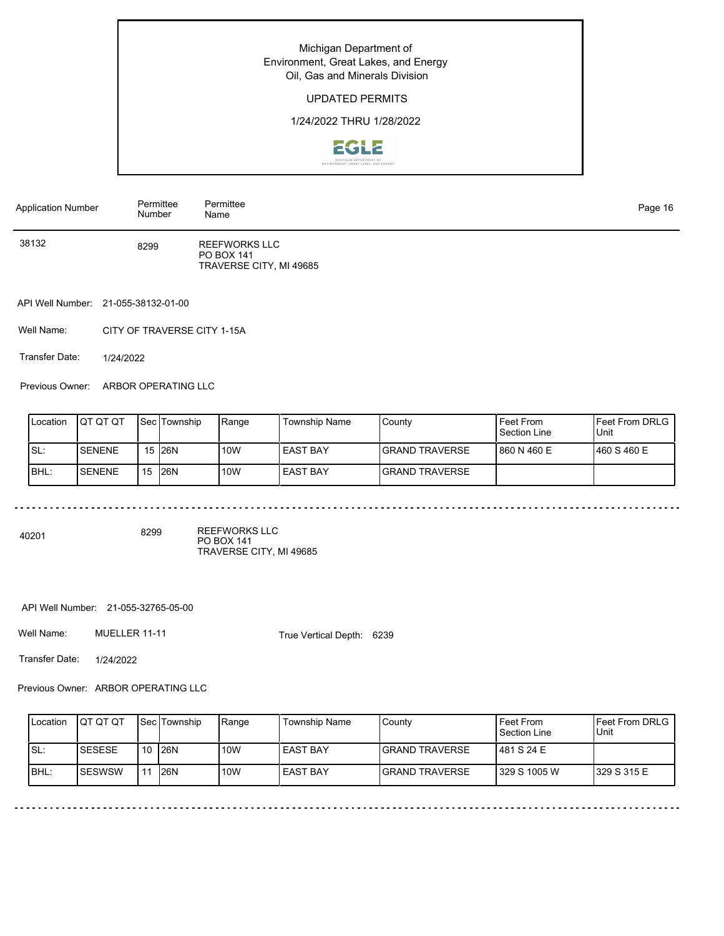### UPDATED PERMITS

#### 1/24/2022 THRU 1/28/2022



| <b>Application Number</b> | Permittee<br>Number | Permittee<br>Name                                             | Page 16 |
|---------------------------|---------------------|---------------------------------------------------------------|---------|
| 38132                     | 8299                | <b>REEFWORKS LLC</b><br>PO BOX 141<br>TRAVERSE CITY, MI 49685 |         |

API Well Number: 21-055-38132-01-00

Well Name: CITY OF TRAVERSE CITY 1-15A

Transfer Date: 1/24/2022

Previous Owner: ARBOR OPERATING LLC

| Location | ΙΟΤ ΟΤ ΟΤ      |    | l Sec lTownship | l Range | <b>Township Name</b> | l Countv               | Feet From<br>Section Line | <b>IFeet From DRLG</b><br>Unit |
|----------|----------------|----|-----------------|---------|----------------------|------------------------|---------------------------|--------------------------------|
| ISL:     | <b>ISENENE</b> |    | 15 I26N         | 10W     | l EAST BAY           | <b>IGRAND TRAVERSE</b> | 860 N 460 E               | 1460 S 460 E                   |
| IBHL:    | <b>ISENENE</b> | 15 | <b>I26N</b>     | 10W     | LEAST BAY            | <b>IGRAND TRAVERSE</b> |                           |                                |

40201 8299

REEFWORKS LLC PO BOX 141 TRAVERSE CITY, MI 49685

API Well Number: 21-055-32765-05-00

Well Name: MUELLER 11-11 True Vertical Depth: 6239

Transfer Date: 1/24/2022

Previous Owner: ARBOR OPERATING LLC

| <b>I</b> Location | ΙΟΤ ΟΤ ΟΤ |    | l Sec lTownship | Range | <b>Township Name</b> | County                 | Feet From<br>Section Line | <b>IFeet From DRLG</b> I<br>Unit |
|-------------------|-----------|----|-----------------|-------|----------------------|------------------------|---------------------------|----------------------------------|
| ISL:              | ISESESE   | 10 | 126N            | 10W   | l EAST BAY           | <b>IGRAND TRAVERSE</b> | 481 S 24 E                |                                  |
| <b>IBHL:</b>      | ISESWSW   |    | 126N            | 10W   | l EAST BAY           | <b>IGRAND TRAVERSE</b> | 1329 S 1005 W             | 1329 S 315 E                     |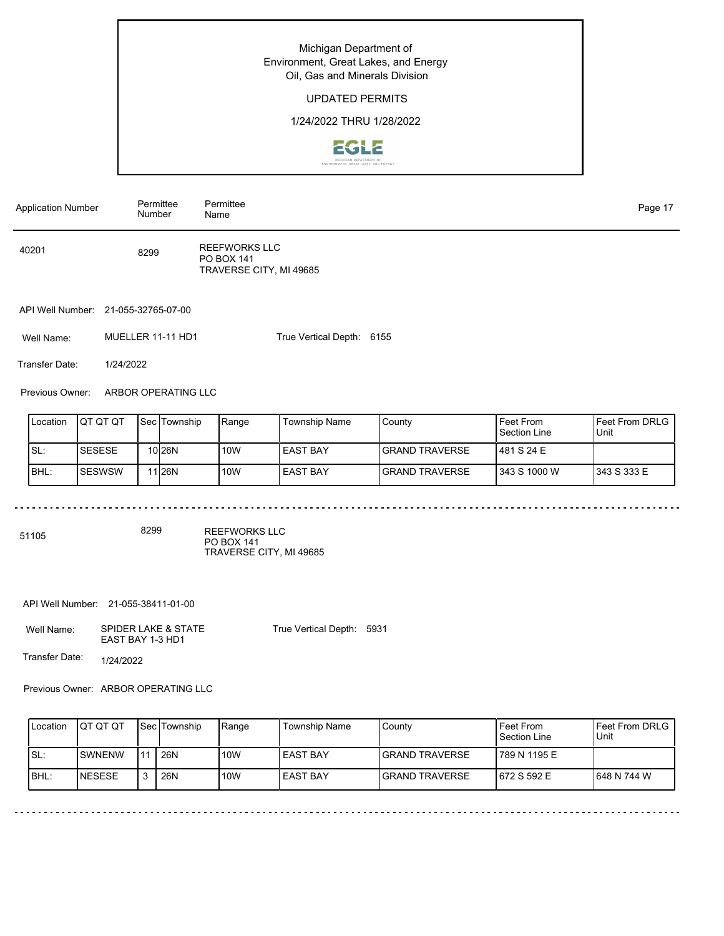### UPDATED PERMITS

#### 1/24/2022 THRU 1/28/2022



| <b>Application Number</b> | Permittee<br>Number                 | Permittee<br>Name                                             | Page 17 |
|---------------------------|-------------------------------------|---------------------------------------------------------------|---------|
| 40201                     | 8299                                | <b>REEFWORKS LLC</b><br>PO BOX 141<br>TRAVERSE CITY, MI 49685 |         |
|                           | API Well Number: 21-055-32765-07-00 |                                                               |         |
| Well Name:                | MUELLER 11-11 HD1                   | True Vertical Depth: 6155                                     |         |
|                           |                                     |                                                               |         |

Previous Owner: ARBOR OPERATING LLC

Transfer Date: 1/24/2022

| Location | IQT QT QT       | l Sec lTownship    | l Range | Township Name | County                 | Feet From<br>Section Line | IFeet From DRLG I<br>Unit |
|----------|-----------------|--------------------|---------|---------------|------------------------|---------------------------|---------------------------|
| SL:      | <b>I</b> SESESE | 10 <sub>26</sub> N | 10W     | l EAST BAY    | <b>IGRAND TRAVERSE</b> | 481 S 24 E                |                           |
| IBHL:    | ISESWSW         | 11 <sub>26</sub> N | 10W     | l EAST BAY    | IGRAND TRAVERSE        | 1343 S 1000 W             | 1343 S 333 E              |

<sup>51105</sup> <sup>8299</sup>

REEFWORKS LLC PO BOX 141 TRAVERSE CITY, MI 49685

API Well Number: 21-055-38411-01-00

Well Name: SPIDER LAKE & STATE EAST BAY 1-3 HD1 True Vertical Depth: 5931

Transfer Date: 1/24/2022

Previous Owner: ARBOR OPERATING LLC

|      | Location | IQT QT QT | <b>Sec Township</b> | Range | <b>Township Name</b> | County                 | Feet From<br>Section Line | <b>IFeet From DRLG</b><br>Unit |
|------|----------|-----------|---------------------|-------|----------------------|------------------------|---------------------------|--------------------------------|
| ISL: |          | ISWNENW   | 26N                 | 10W   | l EAST BAY           | <b>IGRAND TRAVERSE</b> | 789 N 1195 E              |                                |
| BHL: |          | INESESE   | 26N                 | 10W   | l EAST BAY           | <b>IGRAND TRAVERSE</b> | 1672 S 592 E              | 1648 N 744 W                   |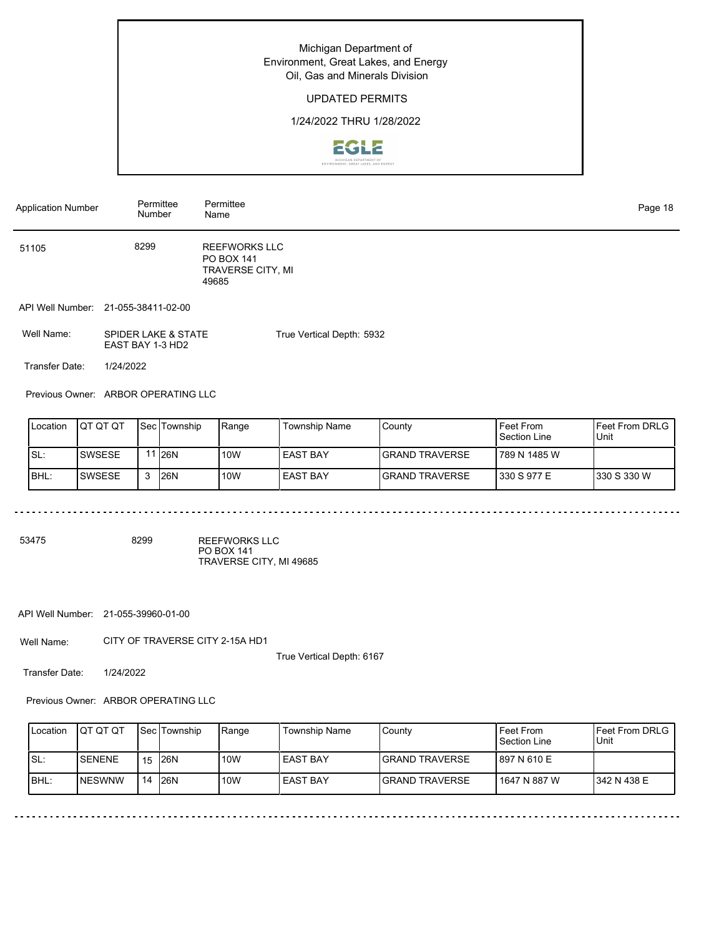### UPDATED PERMITS

#### 1/24/2022 THRU 1/28/2022



| <b>Application Number</b> | Permittee<br>Number                                | Permittee<br>Name                                                | Page 18 |
|---------------------------|----------------------------------------------------|------------------------------------------------------------------|---------|
| 51105                     | 8299                                               | <b>REEFWORKS LLC</b><br>PO BOX 141<br>TRAVERSE CITY, MI<br>49685 |         |
|                           | API Well Number: 21-055-38411-02-00                |                                                                  |         |
| Well Name:                | <b>SPIDER LAKE &amp; STATE</b><br>EAST BAY 1-3 HD2 | True Vertical Depth: 5932                                        |         |
| Transfer Date:            | 1/24/2022                                          |                                                                  |         |

Previous Owner: ARBOR OPERATING LLC

| <b>Location</b> | <b>IQT QT QT</b> |   | l Sec lTownship | Range | <b>Township Name</b> | County                 | Feet From<br>Section Line | l Feet From DRLG <b>I</b><br>Unit |
|-----------------|------------------|---|-----------------|-------|----------------------|------------------------|---------------------------|-----------------------------------|
| ISL:            | <b>SWSESE</b>    |   | <b>I26N</b>     | 10W   | l EAST BAY           | <b>IGRAND TRAVERSE</b> | 789 N 1485 W              |                                   |
| IBHL:           | <b>SWSESE</b>    | 3 | <b>I26N</b>     | 10W   | l EAST BAY           | <b>IGRAND TRAVERSE</b> | 330 S 977 E               | 330 S 330 W                       |

53475 8299 REEFWORKS LLC PO BOX 141 TRAVERSE CITY, MI 49685

API Well Number: 21-055-39960-01-00

Well Name: CITY OF TRAVERSE CITY 2-15A HD1

True Vertical Depth: 6167

Transfer Date: 1/24/2022

Previous Owner: ARBOR OPERATING LLC

| Location | IQT QT QT     |    | l Sec lTownship | Range | <b>Township Name</b> | County                 | Feet From<br>Section Line | <b>IFeet From DRLG</b> I<br>Unit |
|----------|---------------|----|-----------------|-------|----------------------|------------------------|---------------------------|----------------------------------|
| SL:      | <b>SENENE</b> | 15 | 126N            | 10W   | l EAST BAY           | IGRAND TRAVERSE        | 1897 N 610 E              |                                  |
| IBHL:    | INESWNW       | 14 | 126N            | 10W   | l EAST BAY           | <b>IGRAND TRAVERSE</b> | 1647 N 887 W              | 1342 N 438 E                     |